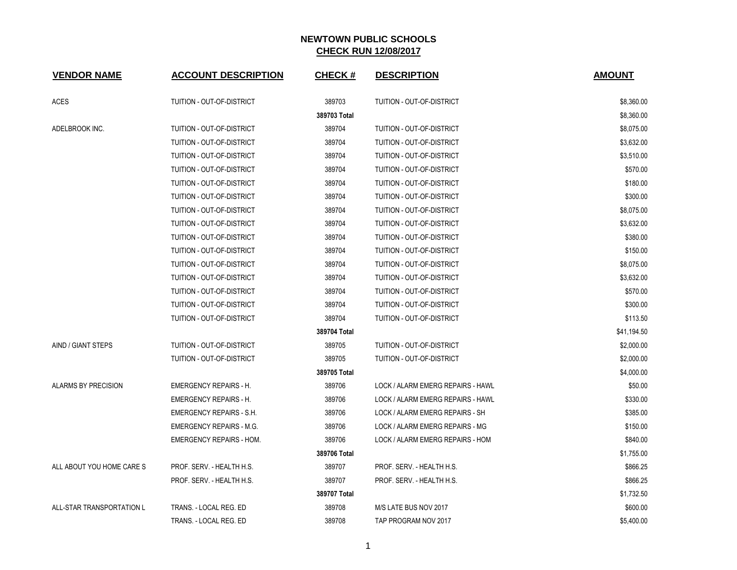| <b>VENDOR NAME</b>         | <b>ACCOUNT DESCRIPTION</b>      | <b>CHECK#</b> | <b>DESCRIPTION</b>                | <b>AMOUNT</b> |
|----------------------------|---------------------------------|---------------|-----------------------------------|---------------|
| <b>ACES</b>                | TUITION - OUT-OF-DISTRICT       | 389703        | TUITION - OUT-OF-DISTRICT         | \$8,360.00    |
|                            |                                 | 389703 Total  |                                   | \$8,360.00    |
| ADELBROOK INC.             | TUITION - OUT-OF-DISTRICT       | 389704        | TUITION - OUT-OF-DISTRICT         | \$8,075.00    |
|                            | TUITION - OUT-OF-DISTRICT       | 389704        | TUITION - OUT-OF-DISTRICT         | \$3,632.00    |
|                            | TUITION - OUT-OF-DISTRICT       | 389704        | TUITION - OUT-OF-DISTRICT         | \$3,510.00    |
|                            | TUITION - OUT-OF-DISTRICT       | 389704        | TUITION - OUT-OF-DISTRICT         | \$570.00      |
|                            | TUITION - OUT-OF-DISTRICT       | 389704        | TUITION - OUT-OF-DISTRICT         | \$180.00      |
|                            | TUITION - OUT-OF-DISTRICT       | 389704        | TUITION - OUT-OF-DISTRICT         | \$300.00      |
|                            | TUITION - OUT-OF-DISTRICT       | 389704        | TUITION - OUT-OF-DISTRICT         | \$8,075.00    |
|                            | TUITION - OUT-OF-DISTRICT       | 389704        | TUITION - OUT-OF-DISTRICT         | \$3,632.00    |
|                            | TUITION - OUT-OF-DISTRICT       | 389704        | TUITION - OUT-OF-DISTRICT         | \$380.00      |
|                            | TUITION - OUT-OF-DISTRICT       | 389704        | TUITION - OUT-OF-DISTRICT         | \$150.00      |
|                            | TUITION - OUT-OF-DISTRICT       | 389704        | TUITION - OUT-OF-DISTRICT         | \$8,075.00    |
|                            | TUITION - OUT-OF-DISTRICT       | 389704        | TUITION - OUT-OF-DISTRICT         | \$3,632.00    |
|                            | TUITION - OUT-OF-DISTRICT       | 389704        | TUITION - OUT-OF-DISTRICT         | \$570.00      |
|                            | TUITION - OUT-OF-DISTRICT       | 389704        | TUITION - OUT-OF-DISTRICT         | \$300.00      |
|                            | TUITION - OUT-OF-DISTRICT       | 389704        | TUITION - OUT-OF-DISTRICT         | \$113.50      |
|                            |                                 | 389704 Total  |                                   | \$41,194.50   |
| AIND / GIANT STEPS         | TUITION - OUT-OF-DISTRICT       | 389705        | TUITION - OUT-OF-DISTRICT         | \$2,000.00    |
|                            | TUITION - OUT-OF-DISTRICT       | 389705        | TUITION - OUT-OF-DISTRICT         | \$2,000.00    |
|                            |                                 | 389705 Total  |                                   | \$4,000.00    |
| <b>ALARMS BY PRECISION</b> | <b>EMERGENCY REPAIRS - H.</b>   | 389706        | LOCK / ALARM EMERG REPAIRS - HAWL | \$50.00       |
|                            | <b>EMERGENCY REPAIRS - H.</b>   | 389706        | LOCK / ALARM EMERG REPAIRS - HAWL | \$330.00      |
|                            | <b>EMERGENCY REPAIRS - S.H.</b> | 389706        | LOCK / ALARM EMERG REPAIRS - SH   | \$385.00      |
|                            | <b>EMERGENCY REPAIRS - M.G.</b> | 389706        | LOCK / ALARM EMERG REPAIRS - MG   | \$150.00      |
|                            | <b>EMERGENCY REPAIRS - HOM.</b> | 389706        | LOCK / ALARM EMERG REPAIRS - HOM  | \$840.00      |
|                            |                                 | 389706 Total  |                                   | \$1,755.00    |
| ALL ABOUT YOU HOME CARE S  | PROF. SERV. - HEALTH H.S.       | 389707        | PROF. SERV. - HEALTH H.S.         | \$866.25      |
|                            | PROF. SERV. - HEALTH H.S.       | 389707        | PROF. SERV. - HEALTH H.S.         | \$866.25      |
|                            |                                 | 389707 Total  |                                   | \$1,732.50    |
| ALL-STAR TRANSPORTATION L  | TRANS. - LOCAL REG. ED          | 389708        | M/S LATE BUS NOV 2017             | \$600.00      |
|                            | TRANS. - LOCAL REG. ED          | 389708        | TAP PROGRAM NOV 2017              | \$5,400.00    |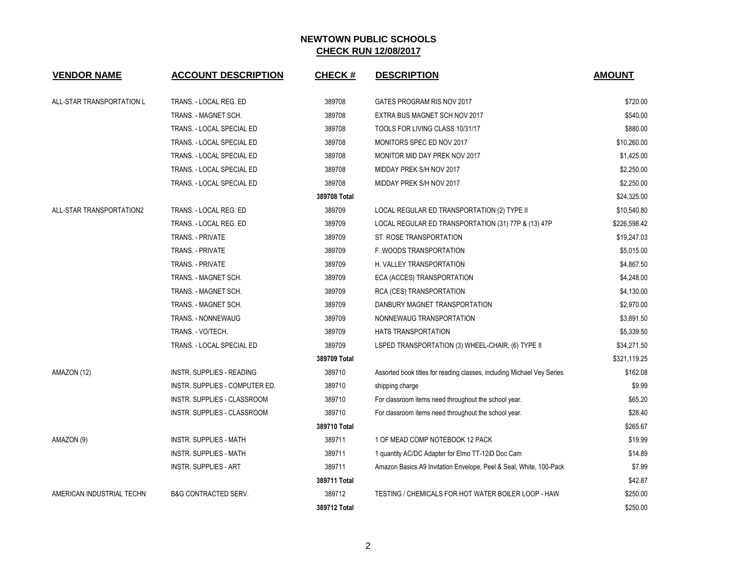| <b>VENDOR NAME</b>        | <b>ACCOUNT DESCRIPTION</b>      | <b>CHECK#</b> | <b>DESCRIPTION</b>                                                     | <b>AMOUNT</b> |
|---------------------------|---------------------------------|---------------|------------------------------------------------------------------------|---------------|
|                           |                                 |               |                                                                        |               |
| ALL-STAR TRANSPORTATION L | TRANS. - LOCAL REG. ED          | 389708        | GATES PROGRAM RIS NOV 2017                                             | \$720.00      |
|                           | TRANS. - MAGNET SCH.            | 389708        | EXTRA BUS MAGNET SCH NOV 2017                                          | \$540.00      |
|                           | TRANS. - LOCAL SPECIAL ED       | 389708        | TOOLS FOR LIVING CLASS 10/31/17                                        | \$880.00      |
|                           | TRANS. - LOCAL SPECIAL ED       | 389708        | MONITORS SPEC ED NOV 2017                                              | \$10,260.00   |
|                           | TRANS. - LOCAL SPECIAL ED       | 389708        | MONITOR MID DAY PREK NOV 2017                                          | \$1,425.00    |
|                           | TRANS. - LOCAL SPECIAL ED       | 389708        | MIDDAY PREK S/H NOV 2017                                               | \$2,250.00    |
|                           | TRANS. - LOCAL SPECIAL ED       | 389708        | MIDDAY PREK S/H NOV 2017                                               | \$2,250.00    |
|                           |                                 | 389708 Total  |                                                                        | \$24,325.00   |
| ALL-STAR TRANSPORTATION2  | TRANS. - LOCAL REG. ED          | 389709        | LOCAL REGULAR ED TRANSPORTATION (2) TYPE II                            | \$10,540.80   |
|                           | TRANS. - LOCAL REG. ED          | 389709        | LOCAL REGULAR ED TRANSPORTATION (31) 77P & (13) 47P                    | \$226,598.42  |
|                           | TRANS. - PRIVATE                | 389709        | ST. ROSE TRANSPORTATION                                                | \$19,247.03   |
|                           | TRANS. - PRIVATE                | 389709        | F. WOODS TRANSPORTATION                                                | \$5,015.00    |
|                           | <b>TRANS. - PRIVATE</b>         | 389709        | H. VALLEY TRANSPORTATION                                               | \$4,867.50    |
|                           | TRANS. - MAGNET SCH.            | 389709        | ECA (ACCES) TRANSPORTATION                                             | \$4,248.00    |
|                           | TRANS. - MAGNET SCH.            | 389709        | RCA (CES) TRANSPORTATION                                               | \$4,130.00    |
|                           | TRANS. - MAGNET SCH.            | 389709        | DANBURY MAGNET TRANSPORTATION                                          | \$2,970.00    |
|                           | TRANS. - NONNEWAUG              | 389709        | NONNEWAUG TRANSPORTATION                                               | \$3,891.50    |
|                           | TRANS. - VO/TECH.               | 389709        | <b>HATS TRANSPORTATION</b>                                             | \$5,339.50    |
|                           | TRANS. - LOCAL SPECIAL ED       | 389709        | LSPED TRANSPORTATION (3) WHEEL-CHAIR, (6) TYPE II                      | \$34,271.50   |
|                           |                                 | 389709 Total  |                                                                        | \$321,119.25  |
| AMAZON (12)               | INSTR. SUPPLIES - READING       | 389710        | Assorted book titles for reading classes, including Michael Vey Series | \$162.08      |
|                           | INSTR. SUPPLIES - COMPUTER ED.  | 389710        | shipping charge                                                        | \$9.99        |
|                           | INSTR. SUPPLIES - CLASSROOM     | 389710        | For classroom items need throughout the school year.                   | \$65.20       |
|                           | INSTR. SUPPLIES - CLASSROOM     | 389710        | For classroom items need throughout the school year.                   | \$28.40       |
|                           |                                 | 389710 Total  |                                                                        | \$265.67      |
| AMAZON (9)                | <b>INSTR. SUPPLIES - MATH</b>   | 389711        | 1 OF MEAD COMP NOTEBOOK 12 PACK                                        | \$19.99       |
|                           | <b>INSTR. SUPPLIES - MATH</b>   | 389711        | 1 quantity AC/DC Adapter for Elmo TT-12iD Doc Cam                      | \$14.89       |
|                           | <b>INSTR. SUPPLIES - ART</b>    | 389711        | Amazon Basics A9 Invitation Envelope, Peel & Seal, White, 100-Pack     | \$7.99        |
|                           |                                 | 389711 Total  |                                                                        | \$42.87       |
| AMERICAN INDUSTRIAL TECHN | <b>B&amp;G CONTRACTED SERV.</b> | 389712        | TESTING / CHEMICALS FOR HOT WATER BOILER LOOP - HAW                    | \$250.00      |
|                           |                                 | 389712 Total  |                                                                        | \$250.00      |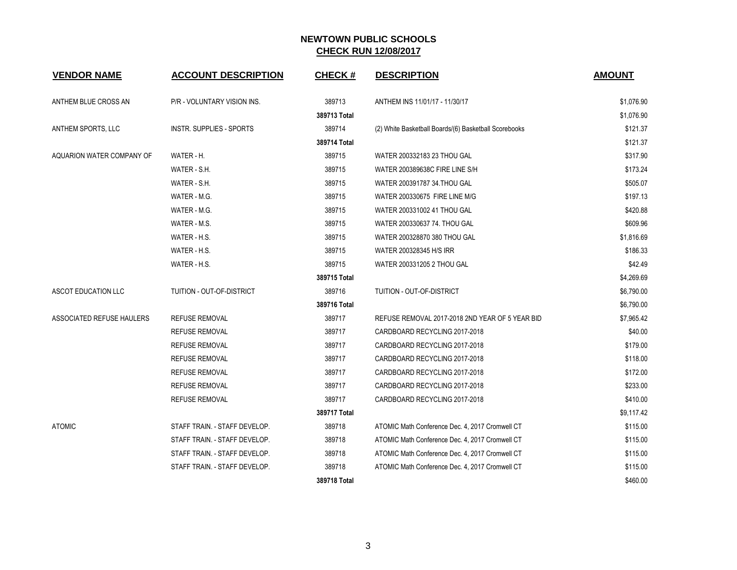| <b>VENDOR NAME</b>        | <b>ACCOUNT DESCRIPTION</b>      | <b>CHECK#</b> | <b>DESCRIPTION</b>                                    | <b>AMOUNT</b> |
|---------------------------|---------------------------------|---------------|-------------------------------------------------------|---------------|
| ANTHEM BLUE CROSS AN      | P/R - VOLUNTARY VISION INS.     | 389713        | ANTHEM INS 11/01/17 - 11/30/17                        | \$1,076.90    |
|                           |                                 | 389713 Total  |                                                       | \$1,076.90    |
| ANTHEM SPORTS, LLC        | <b>INSTR. SUPPLIES - SPORTS</b> | 389714        | (2) White Basketball Boards/(6) Basketball Scorebooks | \$121.37      |
|                           |                                 | 389714 Total  |                                                       | \$121.37      |
| AQUARION WATER COMPANY OF | WATER - H.                      | 389715        | WATER 200332183 23 THOU GAL                           | \$317.90      |
|                           | WATER - S.H.                    | 389715        | WATER 200389638C FIRE LINE S/H                        | \$173.24      |
|                           | WATER - S.H.                    | 389715        | WATER 200391787 34. THOU GAL                          | \$505.07      |
|                           | WATER - M.G.                    | 389715        | WATER 200330675 FIRE LINE M/G                         | \$197.13      |
|                           | WATER - M.G.                    | 389715        | WATER 200331002 41 THOU GAL                           | \$420.88      |
|                           | WATER - M.S.                    | 389715        | WATER 200330637 74. THOU GAL                          | \$609.96      |
|                           | WATER - H.S.                    | 389715        | WATER 200328870 380 THOU GAL                          | \$1,816.69    |
|                           | WATER - H.S.                    | 389715        | WATER 200328345 H/S IRR                               | \$186.33      |
|                           | WATER - H.S.                    | 389715        | WATER 200331205 2 THOU GAL                            | \$42.49       |
|                           |                                 | 389715 Total  |                                                       | \$4,269.69    |
| ASCOT EDUCATION LLC       | TUITION - OUT-OF-DISTRICT       | 389716        | TUITION - OUT-OF-DISTRICT                             | \$6,790.00    |
|                           |                                 | 389716 Total  |                                                       | \$6,790.00    |
| ASSOCIATED REFUSE HAULERS | <b>REFUSE REMOVAL</b>           | 389717        | REFUSE REMOVAL 2017-2018 2ND YEAR OF 5 YEAR BID       | \$7,965.42    |
|                           | REFUSE REMOVAL                  | 389717        | CARDBOARD RECYCLING 2017-2018                         | \$40.00       |
|                           | <b>REFUSE REMOVAL</b>           | 389717        | CARDBOARD RECYCLING 2017-2018                         | \$179.00      |
|                           | <b>REFUSE REMOVAL</b>           | 389717        | CARDBOARD RECYCLING 2017-2018                         | \$118.00      |
|                           | <b>REFUSE REMOVAL</b>           | 389717        | CARDBOARD RECYCLING 2017-2018                         | \$172.00      |
|                           | <b>REFUSE REMOVAL</b>           | 389717        | CARDBOARD RECYCLING 2017-2018                         | \$233.00      |
|                           | REFUSE REMOVAL                  | 389717        | CARDBOARD RECYCLING 2017-2018                         | \$410.00      |
|                           |                                 | 389717 Total  |                                                       | \$9,117.42    |
| <b>ATOMIC</b>             | STAFF TRAIN. - STAFF DEVELOP.   | 389718        | ATOMIC Math Conference Dec. 4, 2017 Cromwell CT       | \$115.00      |
|                           | STAFF TRAIN. - STAFF DEVELOP.   | 389718        | ATOMIC Math Conference Dec. 4, 2017 Cromwell CT       | \$115.00      |
|                           | STAFF TRAIN. - STAFF DEVELOP.   | 389718        | ATOMIC Math Conference Dec. 4, 2017 Cromwell CT       | \$115.00      |
|                           | STAFF TRAIN. - STAFF DEVELOP.   | 389718        | ATOMIC Math Conference Dec. 4, 2017 Cromwell CT       | \$115.00      |
|                           |                                 | 389718 Total  |                                                       | \$460.00      |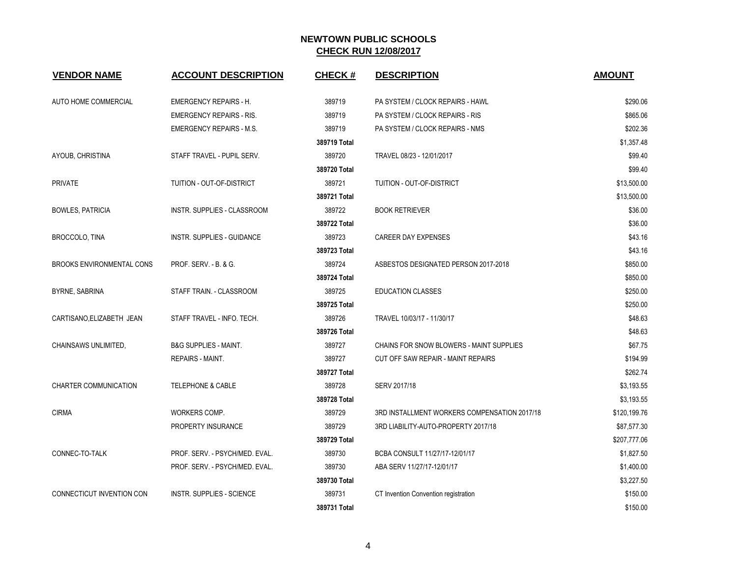| <b>VENDOR NAME</b>               | <b>ACCOUNT DESCRIPTION</b>       | <b>CHECK#</b> | <b>DESCRIPTION</b>                           | <b>AMOUNT</b> |
|----------------------------------|----------------------------------|---------------|----------------------------------------------|---------------|
| AUTO HOME COMMERCIAL             | <b>EMERGENCY REPAIRS - H.</b>    | 389719        | PA SYSTEM / CLOCK REPAIRS - HAWL             | \$290.06      |
|                                  | <b>EMERGENCY REPAIRS - RIS.</b>  | 389719        | PA SYSTEM / CLOCK REPAIRS - RIS              | \$865.06      |
|                                  | <b>EMERGENCY REPAIRS - M.S.</b>  | 389719        | PA SYSTEM / CLOCK REPAIRS - NMS              | \$202.36      |
|                                  |                                  | 389719 Total  |                                              | \$1,357.48    |
| AYOUB, CHRISTINA                 | STAFF TRAVEL - PUPIL SERV.       | 389720        | TRAVEL 08/23 - 12/01/2017                    | \$99.40       |
|                                  |                                  | 389720 Total  |                                              | \$99.40       |
| <b>PRIVATE</b>                   | TUITION - OUT-OF-DISTRICT        | 389721        | TUITION - OUT-OF-DISTRICT                    | \$13,500.00   |
|                                  |                                  | 389721 Total  |                                              | \$13,500.00   |
| <b>BOWLES, PATRICIA</b>          | INSTR. SUPPLIES - CLASSROOM      | 389722        | <b>BOOK RETRIEVER</b>                        | \$36.00       |
|                                  |                                  | 389722 Total  |                                              | \$36.00       |
| BROCCOLO, TINA                   | INSTR. SUPPLIES - GUIDANCE       | 389723        | <b>CAREER DAY EXPENSES</b>                   | \$43.16       |
|                                  |                                  | 389723 Total  |                                              | \$43.16       |
| <b>BROOKS ENVIRONMENTAL CONS</b> | PROF. SERV. - B. & G.            | 389724        | ASBESTOS DESIGNATED PERSON 2017-2018         | \$850.00      |
|                                  |                                  | 389724 Total  |                                              | \$850.00      |
| <b>BYRNE, SABRINA</b>            | STAFF TRAIN. - CLASSROOM         | 389725        | <b>EDUCATION CLASSES</b>                     | \$250.00      |
|                                  |                                  | 389725 Total  |                                              | \$250.00      |
| CARTISANO, ELIZABETH JEAN        | STAFF TRAVEL - INFO. TECH.       | 389726        | TRAVEL 10/03/17 - 11/30/17                   | \$48.63       |
|                                  |                                  | 389726 Total  |                                              | \$48.63       |
| CHAINSAWS UNLIMITED,             | <b>B&amp;G SUPPLIES - MAINT.</b> | 389727        | CHAINS FOR SNOW BLOWERS - MAINT SUPPLIES     | \$67.75       |
|                                  | REPAIRS - MAINT.                 | 389727        | CUT OFF SAW REPAIR - MAINT REPAIRS           | \$194.99      |
|                                  |                                  | 389727 Total  |                                              | \$262.74      |
| <b>CHARTER COMMUNICATION</b>     | <b>TELEPHONE &amp; CABLE</b>     | 389728        | SERV 2017/18                                 | \$3,193.55    |
|                                  |                                  | 389728 Total  |                                              | \$3,193.55    |
| <b>CIRMA</b>                     | WORKERS COMP.                    | 389729        | 3RD INSTALLMENT WORKERS COMPENSATION 2017/18 | \$120,199.76  |
|                                  | PROPERTY INSURANCE               | 389729        | 3RD LIABILITY-AUTO-PROPERTY 2017/18          | \$87,577.30   |
|                                  |                                  | 389729 Total  |                                              | \$207,777.06  |
| CONNEC-TO-TALK                   | PROF. SERV. - PSYCH/MED. EVAL.   | 389730        | BCBA CONSULT 11/27/17-12/01/17               | \$1,827.50    |
|                                  | PROF. SERV. - PSYCH/MED. EVAL.   | 389730        | ABA SERV 11/27/17-12/01/17                   | \$1,400.00    |
|                                  |                                  | 389730 Total  |                                              | \$3,227.50    |
| CONNECTICUT INVENTION CON        | <b>INSTR. SUPPLIES - SCIENCE</b> | 389731        | CT Invention Convention registration         | \$150.00      |
|                                  |                                  | 389731 Total  |                                              | \$150.00      |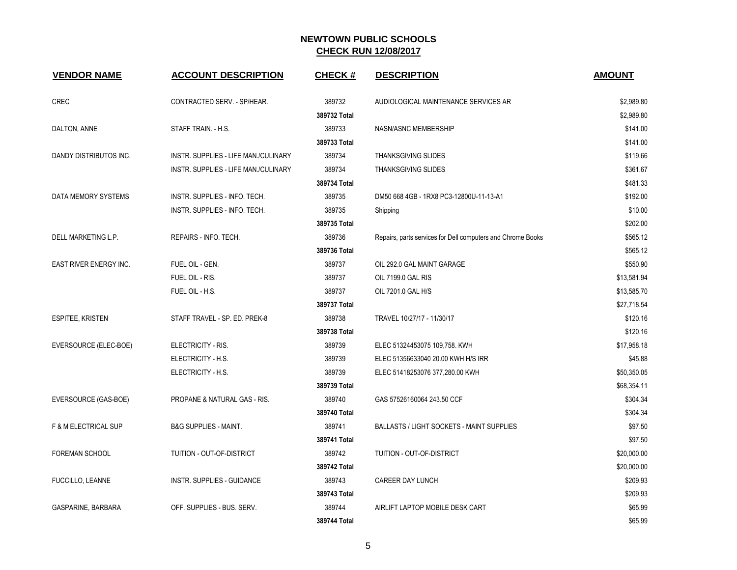| <b>VENDOR NAME</b>              | <b>ACCOUNT DESCRIPTION</b>           | <b>CHECK#</b> | <b>DESCRIPTION</b>                                          | <b>AMOUNT</b> |
|---------------------------------|--------------------------------------|---------------|-------------------------------------------------------------|---------------|
| <b>CREC</b>                     | CONTRACTED SERV. - SP/HEAR.          | 389732        | AUDIOLOGICAL MAINTENANCE SERVICES AR                        | \$2,989.80    |
|                                 |                                      | 389732 Total  |                                                             | \$2,989.80    |
| DALTON, ANNE                    | STAFF TRAIN. - H.S.                  | 389733        | NASN/ASNC MEMBERSHIP                                        | \$141.00      |
|                                 |                                      | 389733 Total  |                                                             | \$141.00      |
| DANDY DISTRIBUTOS INC.          | INSTR. SUPPLIES - LIFE MAN./CULINARY | 389734        | <b>THANKSGIVING SLIDES</b>                                  | \$119.66      |
|                                 | INSTR. SUPPLIES - LIFE MAN./CULINARY | 389734        | <b>THANKSGIVING SLIDES</b>                                  | \$361.67      |
|                                 |                                      | 389734 Total  |                                                             | \$481.33      |
| DATA MEMORY SYSTEMS             | INSTR. SUPPLIES - INFO. TECH.        | 389735        | DM50 668 4GB - 1RX8 PC3-12800U-11-13-A1                     | \$192.00      |
|                                 | INSTR. SUPPLIES - INFO. TECH.        | 389735        | Shipping                                                    | \$10.00       |
|                                 |                                      | 389735 Total  |                                                             | \$202.00      |
| DELL MARKETING L.P.             | REPAIRS - INFO. TECH.                | 389736        | Repairs, parts services for Dell computers and Chrome Books | \$565.12      |
|                                 |                                      | 389736 Total  |                                                             | \$565.12      |
| EAST RIVER ENERGY INC.          | FUEL OIL - GEN.                      | 389737        | OIL 292.0 GAL MAINT GARAGE                                  | \$550.90      |
|                                 | FUEL OIL - RIS.                      | 389737        | OIL 7199.0 GAL RIS                                          | \$13,581.94   |
|                                 | FUEL OIL - H.S.                      | 389737        | OIL 7201.0 GAL H/S                                          | \$13,585.70   |
|                                 |                                      | 389737 Total  |                                                             | \$27,718.54   |
| <b>ESPITEE, KRISTEN</b>         | STAFF TRAVEL - SP. ED. PREK-8        | 389738        | TRAVEL 10/27/17 - 11/30/17                                  | \$120.16      |
|                                 |                                      | 389738 Total  |                                                             | \$120.16      |
| EVERSOURCE (ELEC-BOE)           | ELECTRICITY - RIS.                   | 389739        | ELEC 51324453075 109,758. KWH                               | \$17,958.18   |
|                                 | ELECTRICITY - H.S.                   | 389739        | ELEC 51356633040 20.00 KWH H/S IRR                          | \$45.88       |
|                                 | ELECTRICITY - H.S.                   | 389739        | ELEC 51418253076 377,280.00 KWH                             | \$50,350.05   |
|                                 |                                      | 389739 Total  |                                                             | \$68,354.11   |
| EVERSOURCE (GAS-BOE)            | PROPANE & NATURAL GAS - RIS.         | 389740        | GAS 57526160064 243.50 CCF                                  | \$304.34      |
|                                 |                                      | 389740 Total  |                                                             | \$304.34      |
| <b>F &amp; M ELECTRICAL SUP</b> | <b>B&amp;G SUPPLIES - MAINT.</b>     | 389741        | <b>BALLASTS / LIGHT SOCKETS - MAINT SUPPLIES</b>            | \$97.50       |
|                                 |                                      | 389741 Total  |                                                             | \$97.50       |
| <b>FOREMAN SCHOOL</b>           | TUITION - OUT-OF-DISTRICT            | 389742        | TUITION - OUT-OF-DISTRICT                                   | \$20,000.00   |
|                                 |                                      | 389742 Total  |                                                             | \$20,000.00   |
| <b>FUCCILLO, LEANNE</b>         | INSTR. SUPPLIES - GUIDANCE           | 389743        | CAREER DAY LUNCH                                            | \$209.93      |
|                                 |                                      | 389743 Total  |                                                             | \$209.93      |
| GASPARINE, BARBARA              | OFF. SUPPLIES - BUS. SERV.           | 389744        | AIRLIFT LAPTOP MOBILE DESK CART                             | \$65.99       |
|                                 |                                      | 389744 Total  |                                                             | \$65.99       |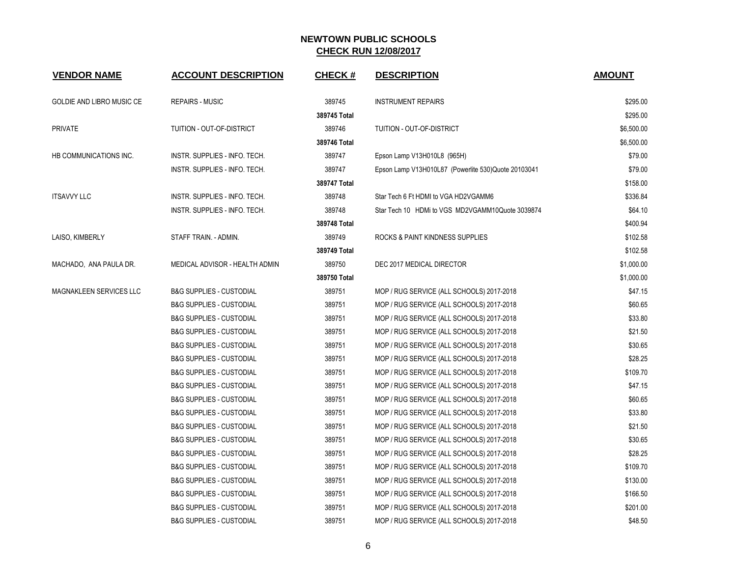| <b>VENDOR NAME</b>               | <b>ACCOUNT DESCRIPTION</b>          | <b>CHECK#</b> | <b>DESCRIPTION</b>                                  | <b>AMOUNT</b> |
|----------------------------------|-------------------------------------|---------------|-----------------------------------------------------|---------------|
| <b>GOLDIE AND LIBRO MUSIC CE</b> | <b>REPAIRS - MUSIC</b>              | 389745        | <b>INSTRUMENT REPAIRS</b>                           | \$295.00      |
|                                  |                                     | 389745 Total  |                                                     | \$295.00      |
| <b>PRIVATE</b>                   | TUITION - OUT-OF-DISTRICT           | 389746        | TUITION - OUT-OF-DISTRICT                           | \$6,500.00    |
|                                  |                                     | 389746 Total  |                                                     | \$6,500.00    |
| HB COMMUNICATIONS INC.           | INSTR. SUPPLIES - INFO. TECH.       | 389747        | Epson Lamp V13H010L8 (965H)                         | \$79.00       |
|                                  | INSTR. SUPPLIES - INFO. TECH.       | 389747        | Epson Lamp V13H010L87 (Powerlite 530)Quote 20103041 | \$79.00       |
|                                  |                                     | 389747 Total  |                                                     | \$158.00      |
| <b>ITSAVVY LLC</b>               | INSTR. SUPPLIES - INFO. TECH.       | 389748        | Star Tech 6 Ft HDMI to VGA HD2VGAMM6                | \$336.84      |
|                                  | INSTR. SUPPLIES - INFO. TECH.       | 389748        | Star Tech 10 HDMi to VGS MD2VGAMM10Quote 3039874    | \$64.10       |
|                                  |                                     | 389748 Total  |                                                     | \$400.94      |
| LAISO, KIMBERLY                  | STAFF TRAIN. - ADMIN.               | 389749        | ROCKS & PAINT KINDNESS SUPPLIES                     | \$102.58      |
|                                  |                                     | 389749 Total  |                                                     | \$102.58      |
| MACHADO, ANA PAULA DR.           | MEDICAL ADVISOR - HEALTH ADMIN      | 389750        | DEC 2017 MEDICAL DIRECTOR                           | \$1,000.00    |
|                                  |                                     | 389750 Total  |                                                     | \$1,000.00    |
| MAGNAKLEEN SERVICES LLC          | <b>B&amp;G SUPPLIES - CUSTODIAL</b> | 389751        | MOP / RUG SERVICE (ALL SCHOOLS) 2017-2018           | \$47.15       |
|                                  | <b>B&amp;G SUPPLIES - CUSTODIAL</b> | 389751        | MOP / RUG SERVICE (ALL SCHOOLS) 2017-2018           | \$60.65       |
|                                  | <b>B&amp;G SUPPLIES - CUSTODIAL</b> | 389751        | MOP / RUG SERVICE (ALL SCHOOLS) 2017-2018           | \$33.80       |
|                                  | <b>B&amp;G SUPPLIES - CUSTODIAL</b> | 389751        | MOP / RUG SERVICE (ALL SCHOOLS) 2017-2018           | \$21.50       |
|                                  | <b>B&amp;G SUPPLIES - CUSTODIAL</b> | 389751        | MOP / RUG SERVICE (ALL SCHOOLS) 2017-2018           | \$30.65       |
|                                  | <b>B&amp;G SUPPLIES - CUSTODIAL</b> | 389751        | MOP / RUG SERVICE (ALL SCHOOLS) 2017-2018           | \$28.25       |
|                                  | <b>B&amp;G SUPPLIES - CUSTODIAL</b> | 389751        | MOP / RUG SERVICE (ALL SCHOOLS) 2017-2018           | \$109.70      |
|                                  | <b>B&amp;G SUPPLIES - CUSTODIAL</b> | 389751        | MOP / RUG SERVICE (ALL SCHOOLS) 2017-2018           | \$47.15       |
|                                  | <b>B&amp;G SUPPLIES - CUSTODIAL</b> | 389751        | MOP / RUG SERVICE (ALL SCHOOLS) 2017-2018           | \$60.65       |
|                                  | <b>B&amp;G SUPPLIES - CUSTODIAL</b> | 389751        | MOP / RUG SERVICE (ALL SCHOOLS) 2017-2018           | \$33.80       |
|                                  | <b>B&amp;G SUPPLIES - CUSTODIAL</b> | 389751        | MOP / RUG SERVICE (ALL SCHOOLS) 2017-2018           | \$21.50       |
|                                  | <b>B&amp;G SUPPLIES - CUSTODIAL</b> | 389751        | MOP / RUG SERVICE (ALL SCHOOLS) 2017-2018           | \$30.65       |
|                                  | <b>B&amp;G SUPPLIES - CUSTODIAL</b> | 389751        | MOP / RUG SERVICE (ALL SCHOOLS) 2017-2018           | \$28.25       |
|                                  | <b>B&amp;G SUPPLIES - CUSTODIAL</b> | 389751        | MOP / RUG SERVICE (ALL SCHOOLS) 2017-2018           | \$109.70      |
|                                  | <b>B&amp;G SUPPLIES - CUSTODIAL</b> | 389751        | MOP / RUG SERVICE (ALL SCHOOLS) 2017-2018           | \$130.00      |
|                                  | <b>B&amp;G SUPPLIES - CUSTODIAL</b> | 389751        | MOP / RUG SERVICE (ALL SCHOOLS) 2017-2018           | \$166.50      |
|                                  | <b>B&amp;G SUPPLIES - CUSTODIAL</b> | 389751        | MOP / RUG SERVICE (ALL SCHOOLS) 2017-2018           | \$201.00      |
|                                  | <b>B&amp;G SUPPLIES - CUSTODIAL</b> | 389751        | MOP / RUG SERVICE (ALL SCHOOLS) 2017-2018           | \$48.50       |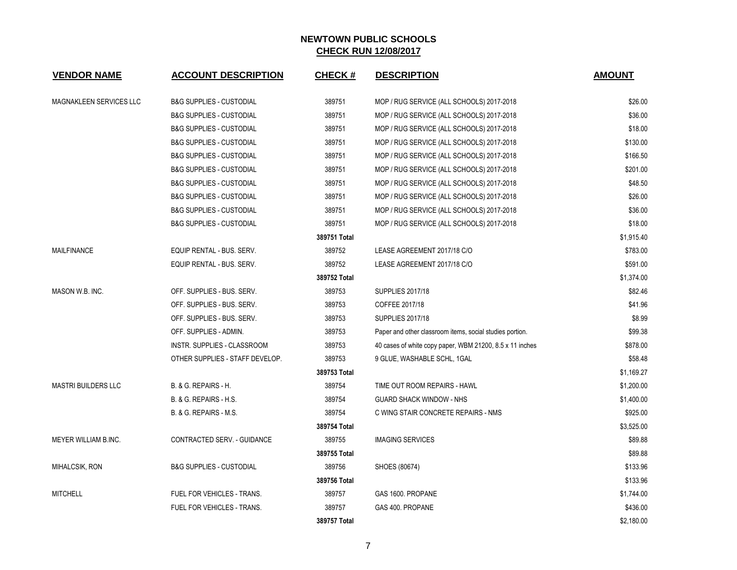| <b>VENDOR NAME</b>         | <b>ACCOUNT DESCRIPTION</b>          | <b>CHECK#</b> | <b>DESCRIPTION</b>                                       | <b>AMOUNT</b> |
|----------------------------|-------------------------------------|---------------|----------------------------------------------------------|---------------|
| MAGNAKLEEN SERVICES LLC    | <b>B&amp;G SUPPLIES - CUSTODIAL</b> | 389751        | MOP / RUG SERVICE (ALL SCHOOLS) 2017-2018                | \$26.00       |
|                            | <b>B&amp;G SUPPLIES - CUSTODIAL</b> | 389751        | MOP / RUG SERVICE (ALL SCHOOLS) 2017-2018                | \$36.00       |
|                            | <b>B&amp;G SUPPLIES - CUSTODIAL</b> | 389751        | MOP / RUG SERVICE (ALL SCHOOLS) 2017-2018                | \$18.00       |
|                            | <b>B&amp;G SUPPLIES - CUSTODIAL</b> | 389751        | MOP / RUG SERVICE (ALL SCHOOLS) 2017-2018                | \$130.00      |
|                            | <b>B&amp;G SUPPLIES - CUSTODIAL</b> | 389751        | MOP / RUG SERVICE (ALL SCHOOLS) 2017-2018                | \$166.50      |
|                            | <b>B&amp;G SUPPLIES - CUSTODIAL</b> | 389751        | MOP / RUG SERVICE (ALL SCHOOLS) 2017-2018                | \$201.00      |
|                            | <b>B&amp;G SUPPLIES - CUSTODIAL</b> | 389751        | MOP / RUG SERVICE (ALL SCHOOLS) 2017-2018                | \$48.50       |
|                            | <b>B&amp;G SUPPLIES - CUSTODIAL</b> | 389751        | MOP / RUG SERVICE (ALL SCHOOLS) 2017-2018                | \$26.00       |
|                            | <b>B&amp;G SUPPLIES - CUSTODIAL</b> | 389751        | MOP / RUG SERVICE (ALL SCHOOLS) 2017-2018                | \$36.00       |
|                            | <b>B&amp;G SUPPLIES - CUSTODIAL</b> | 389751        | MOP / RUG SERVICE (ALL SCHOOLS) 2017-2018                | \$18.00       |
|                            |                                     | 389751 Total  |                                                          | \$1,915.40    |
| <b>MAILFINANCE</b>         | EQUIP RENTAL - BUS. SERV.           | 389752        | LEASE AGREEMENT 2017/18 C/O                              | \$783.00      |
|                            | EQUIP RENTAL - BUS. SERV.           | 389752        | LEASE AGREEMENT 2017/18 C/O                              | \$591.00      |
|                            |                                     | 389752 Total  |                                                          | \$1,374.00    |
| MASON W.B. INC.            | OFF. SUPPLIES - BUS. SERV.          | 389753        | <b>SUPPLIES 2017/18</b>                                  | \$82.46       |
|                            | OFF. SUPPLIES - BUS. SERV.          | 389753        | COFFEE 2017/18                                           | \$41.96       |
|                            | OFF. SUPPLIES - BUS. SERV.          | 389753        | <b>SUPPLIES 2017/18</b>                                  | \$8.99        |
|                            | OFF. SUPPLIES - ADMIN.              | 389753        | Paper and other classroom items, social studies portion. | \$99.38       |
|                            | INSTR. SUPPLIES - CLASSROOM         | 389753        | 40 cases of white copy paper, WBM 21200, 8.5 x 11 inches | \$878.00      |
|                            | OTHER SUPPLIES - STAFF DEVELOP.     | 389753        | 9 GLUE, WASHABLE SCHL, 1GAL                              | \$58.48       |
|                            |                                     | 389753 Total  |                                                          | \$1,169.27    |
| <b>MASTRI BUILDERS LLC</b> | B. & G. REPAIRS - H.                | 389754        | TIME OUT ROOM REPAIRS - HAWL                             | \$1,200.00    |
|                            | B. & G. REPAIRS - H.S.              | 389754        | <b>GUARD SHACK WINDOW - NHS</b>                          | \$1,400.00    |
|                            | B. & G. REPAIRS - M.S.              | 389754        | C WING STAIR CONCRETE REPAIRS - NMS                      | \$925.00      |
|                            |                                     | 389754 Total  |                                                          | \$3,525.00    |
| MEYER WILLIAM B.INC.       | CONTRACTED SERV. - GUIDANCE         | 389755        | <b>IMAGING SERVICES</b>                                  | \$89.88       |
|                            |                                     | 389755 Total  |                                                          | \$89.88       |
| MIHALCSIK, RON             | <b>B&amp;G SUPPLIES - CUSTODIAL</b> | 389756        | SHOES (80674)                                            | \$133.96      |
|                            |                                     | 389756 Total  |                                                          | \$133.96      |
| <b>MITCHELL</b>            | FUEL FOR VEHICLES - TRANS.          | 389757        | GAS 1600. PROPANE                                        | \$1,744.00    |
|                            | <b>FUEL FOR VEHICLES - TRANS.</b>   | 389757        | GAS 400. PROPANE                                         | \$436.00      |
|                            |                                     | 389757 Total  |                                                          | \$2,180.00    |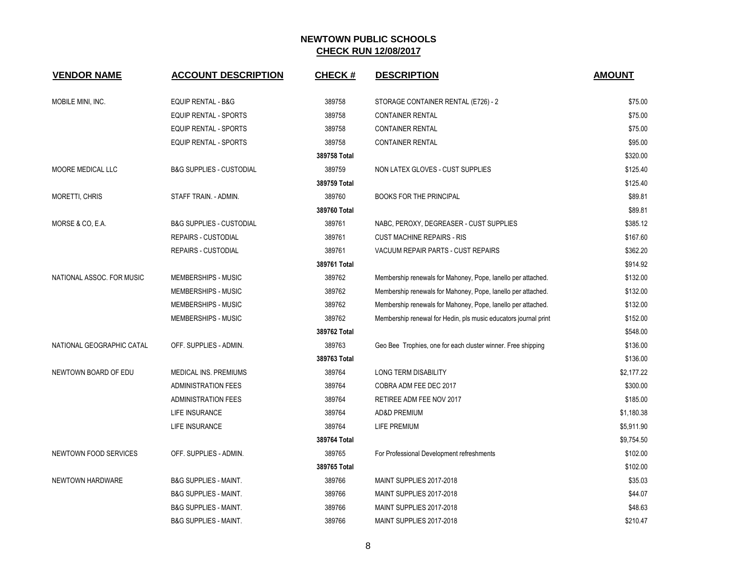| <b>VENDOR NAME</b>        | <b>ACCOUNT DESCRIPTION</b>          | <b>CHECK#</b> | <b>DESCRIPTION</b>                                              | <b>AMOUNT</b> |
|---------------------------|-------------------------------------|---------------|-----------------------------------------------------------------|---------------|
|                           |                                     |               |                                                                 |               |
| MOBILE MINI, INC.         | EQUIP RENTAL - B&G                  | 389758        | STORAGE CONTAINER RENTAL (E726) - 2                             | \$75.00       |
|                           | <b>EQUIP RENTAL - SPORTS</b>        | 389758        | <b>CONTAINER RENTAL</b>                                         | \$75.00       |
|                           | EQUIP RENTAL - SPORTS               | 389758        | <b>CONTAINER RENTAL</b>                                         | \$75.00       |
|                           | <b>EQUIP RENTAL - SPORTS</b>        | 389758        | <b>CONTAINER RENTAL</b>                                         | \$95.00       |
|                           |                                     | 389758 Total  |                                                                 | \$320.00      |
| MOORE MEDICAL LLC         | <b>B&amp;G SUPPLIES - CUSTODIAL</b> | 389759        | NON LATEX GLOVES - CUST SUPPLIES                                | \$125.40      |
|                           |                                     | 389759 Total  |                                                                 | \$125.40      |
| <b>MORETTI, CHRIS</b>     | STAFF TRAIN. - ADMIN.               | 389760        | <b>BOOKS FOR THE PRINCIPAL</b>                                  | \$89.81       |
|                           |                                     | 389760 Total  |                                                                 | \$89.81       |
| MORSE & CO, E.A.          | <b>B&amp;G SUPPLIES - CUSTODIAL</b> | 389761        | NABC, PEROXY, DEGREASER - CUST SUPPLIES                         | \$385.12      |
|                           | <b>REPAIRS - CUSTODIAL</b>          | 389761        | <b>CUST MACHINE REPAIRS - RIS</b>                               | \$167.60      |
|                           | <b>REPAIRS - CUSTODIAL</b>          | 389761        | VACUUM REPAIR PARTS - CUST REPAIRS                              | \$362.20      |
|                           |                                     | 389761 Total  |                                                                 | \$914.92      |
| NATIONAL ASSOC. FOR MUSIC | MEMBERSHIPS - MUSIC                 | 389762        | Membership renewals for Mahoney, Pope, lanello per attached.    | \$132.00      |
|                           | <b>MEMBERSHIPS - MUSIC</b>          | 389762        | Membership renewals for Mahoney, Pope, lanello per attached.    | \$132.00      |
|                           | MEMBERSHIPS - MUSIC                 | 389762        | Membership renewals for Mahoney, Pope, lanello per attached.    | \$132.00      |
|                           | MEMBERSHIPS - MUSIC                 | 389762        | Membership renewal for Hedin, pls music educators journal print | \$152.00      |
|                           |                                     | 389762 Total  |                                                                 | \$548.00      |
| NATIONAL GEOGRAPHIC CATAL | OFF. SUPPLIES - ADMIN.              | 389763        | Geo Bee Trophies, one for each cluster winner. Free shipping    | \$136.00      |
|                           |                                     | 389763 Total  |                                                                 | \$136.00      |
| NEWTOWN BOARD OF EDU      | <b>MEDICAL INS. PREMIUMS</b>        | 389764        | LONG TERM DISABILITY                                            | \$2,177.22    |
|                           | <b>ADMINISTRATION FEES</b>          | 389764        | COBRA ADM FEE DEC 2017                                          | \$300.00      |
|                           | <b>ADMINISTRATION FEES</b>          | 389764        | RETIREE ADM FEE NOV 2017                                        | \$185.00      |
|                           | LIFE INSURANCE                      | 389764        | AD&D PREMIUM                                                    | \$1,180.38    |
|                           | LIFE INSURANCE                      | 389764        | <b>LIFE PREMIUM</b>                                             | \$5,911.90    |
|                           |                                     | 389764 Total  |                                                                 | \$9,754.50    |
| NEWTOWN FOOD SERVICES     | OFF. SUPPLIES - ADMIN.              | 389765        | For Professional Development refreshments                       | \$102.00      |
|                           |                                     | 389765 Total  |                                                                 | \$102.00      |
| NEWTOWN HARDWARE          | <b>B&amp;G SUPPLIES - MAINT.</b>    | 389766        | MAINT SUPPLIES 2017-2018                                        | \$35.03       |
|                           | <b>B&amp;G SUPPLIES - MAINT.</b>    | 389766        | MAINT SUPPLIES 2017-2018                                        | \$44.07       |
|                           | <b>B&amp;G SUPPLIES - MAINT.</b>    | 389766        | MAINT SUPPLIES 2017-2018                                        | \$48.63       |
|                           | <b>B&amp;G SUPPLIES - MAINT.</b>    | 389766        | MAINT SUPPLIES 2017-2018                                        | \$210.47      |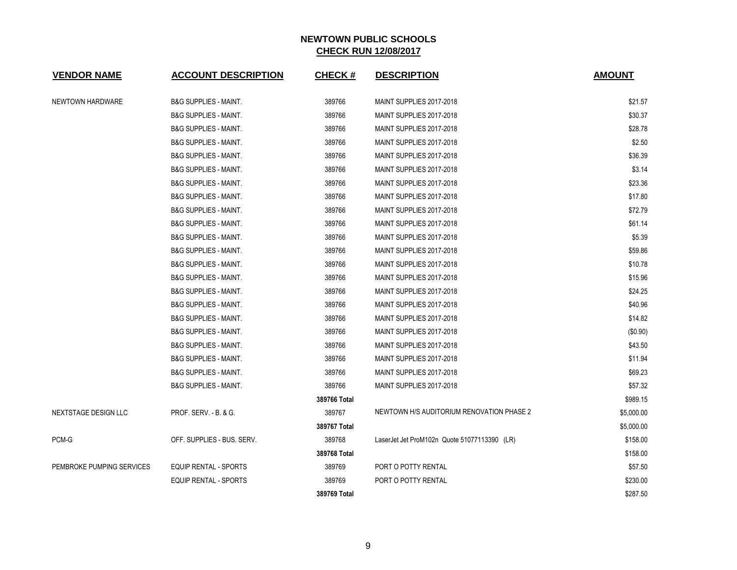| <b>VENDOR NAME</b>        | <b>ACCOUNT DESCRIPTION</b>       | <b>CHECK#</b> | <b>DESCRIPTION</b>                           | <b>AMOUNT</b> |
|---------------------------|----------------------------------|---------------|----------------------------------------------|---------------|
| NEWTOWN HARDWARE          | <b>B&amp;G SUPPLIES - MAINT.</b> | 389766        | MAINT SUPPLIES 2017-2018                     | \$21.57       |
|                           | <b>B&amp;G SUPPLIES - MAINT.</b> | 389766        | MAINT SUPPLIES 2017-2018                     | \$30.37       |
|                           | <b>B&amp;G SUPPLIES - MAINT.</b> | 389766        | MAINT SUPPLIES 2017-2018                     | \$28.78       |
|                           | <b>B&amp;G SUPPLIES - MAINT.</b> | 389766        | MAINT SUPPLIES 2017-2018                     | \$2.50        |
|                           | <b>B&amp;G SUPPLIES - MAINT.</b> | 389766        | MAINT SUPPLIES 2017-2018                     | \$36.39       |
|                           | <b>B&amp;G SUPPLIES - MAINT.</b> | 389766        | MAINT SUPPLIES 2017-2018                     | \$3.14        |
|                           | <b>B&amp;G SUPPLIES - MAINT.</b> | 389766        | MAINT SUPPLIES 2017-2018                     | \$23.36       |
|                           | <b>B&amp;G SUPPLIES - MAINT.</b> | 389766        | MAINT SUPPLIES 2017-2018                     | \$17.80       |
|                           | <b>B&amp;G SUPPLIES - MAINT.</b> | 389766        | MAINT SUPPLIES 2017-2018                     | \$72.79       |
|                           | <b>B&amp;G SUPPLIES - MAINT.</b> | 389766        | MAINT SUPPLIES 2017-2018                     | \$61.14       |
|                           | <b>B&amp;G SUPPLIES - MAINT.</b> | 389766        | MAINT SUPPLIES 2017-2018                     | \$5.39        |
|                           | <b>B&amp;G SUPPLIES - MAINT.</b> | 389766        | MAINT SUPPLIES 2017-2018                     | \$59.86       |
|                           | <b>B&amp;G SUPPLIES - MAINT.</b> | 389766        | MAINT SUPPLIES 2017-2018                     | \$10.78       |
|                           | <b>B&amp;G SUPPLIES - MAINT.</b> | 389766        | MAINT SUPPLIES 2017-2018                     | \$15.96       |
|                           | <b>B&amp;G SUPPLIES - MAINT.</b> | 389766        | MAINT SUPPLIES 2017-2018                     | \$24.25       |
|                           | <b>B&amp;G SUPPLIES - MAINT.</b> | 389766        | MAINT SUPPLIES 2017-2018                     | \$40.96       |
|                           | <b>B&amp;G SUPPLIES - MAINT.</b> | 389766        | MAINT SUPPLIES 2017-2018                     | \$14.82       |
|                           | <b>B&amp;G SUPPLIES - MAINT.</b> | 389766        | MAINT SUPPLIES 2017-2018                     | (\$0.90)      |
|                           | <b>B&amp;G SUPPLIES - MAINT.</b> | 389766        | MAINT SUPPLIES 2017-2018                     | \$43.50       |
|                           | <b>B&amp;G SUPPLIES - MAINT.</b> | 389766        | MAINT SUPPLIES 2017-2018                     | \$11.94       |
|                           | <b>B&amp;G SUPPLIES - MAINT.</b> | 389766        | MAINT SUPPLIES 2017-2018                     | \$69.23       |
|                           | <b>B&amp;G SUPPLIES - MAINT.</b> | 389766        | MAINT SUPPLIES 2017-2018                     | \$57.32       |
|                           |                                  | 389766 Total  |                                              | \$989.15      |
| NEXTSTAGE DESIGN LLC      | <b>PROF. SERV. - B. &amp; G.</b> | 389767        | NEWTOWN H/S AUDITORIUM RENOVATION PHASE 2    | \$5,000.00    |
|                           |                                  | 389767 Total  |                                              | \$5,000.00    |
| PCM-G                     | OFF. SUPPLIES - BUS. SERV.       | 389768        | LaserJet Jet ProM102n Quote 51077113390 (LR) | \$158.00      |
|                           |                                  | 389768 Total  |                                              | \$158.00      |
| PEMBROKE PUMPING SERVICES | <b>EQUIP RENTAL - SPORTS</b>     | 389769        | PORT O POTTY RENTAL                          | \$57.50       |
|                           | <b>EQUIP RENTAL - SPORTS</b>     | 389769        | PORT O POTTY RENTAL                          | \$230.00      |
|                           |                                  | 389769 Total  |                                              | \$287.50      |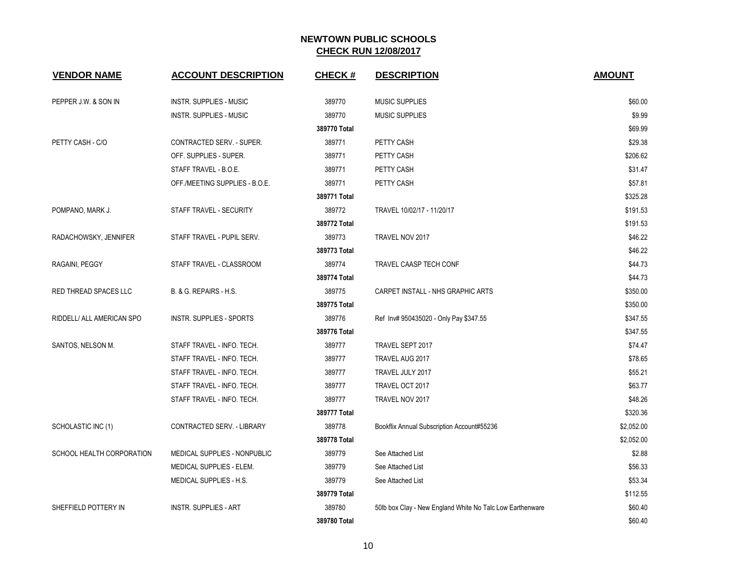| <b>VENDOR NAME</b>        | <b>ACCOUNT DESCRIPTION</b>      | <b>CHECK#</b> | <b>DESCRIPTION</b>                                        | <b>AMOUNT</b> |
|---------------------------|---------------------------------|---------------|-----------------------------------------------------------|---------------|
| PEPPER J.W. & SON IN      | <b>INSTR. SUPPLIES - MUSIC</b>  | 389770        | <b>MUSIC SUPPLIES</b>                                     | \$60.00       |
|                           | <b>INSTR. SUPPLIES - MUSIC</b>  | 389770        | <b>MUSIC SUPPLIES</b>                                     | \$9.99        |
|                           |                                 | 389770 Total  |                                                           | \$69.99       |
| PETTY CASH - C/O          | CONTRACTED SERV. - SUPER.       | 389771        | PETTY CASH                                                | \$29.38       |
|                           | OFF. SUPPLIES - SUPER.          | 389771        | PETTY CASH                                                | \$206.62      |
|                           | STAFF TRAVEL - B.O.E.           | 389771        | PETTY CASH                                                | \$31.47       |
|                           | OFF./MEETING SUPPLIES - B.O.E.  | 389771        | PETTY CASH                                                | \$57.81       |
|                           |                                 | 389771 Total  |                                                           | \$325.28      |
| POMPANO, MARK J.          | STAFF TRAVEL - SECURITY         | 389772        | TRAVEL 10/02/17 - 11/20/17                                | \$191.53      |
|                           |                                 | 389772 Total  |                                                           | \$191.53      |
| RADACHOWSKY, JENNIFER     | STAFF TRAVEL - PUPIL SERV.      | 389773        | TRAVEL NOV 2017                                           | \$46.22       |
|                           |                                 | 389773 Total  |                                                           | \$46.22       |
| RAGAINI, PEGGY            | STAFF TRAVEL - CLASSROOM        | 389774        | TRAVEL CAASP TECH CONF                                    | \$44.73       |
|                           |                                 | 389774 Total  |                                                           | \$44.73       |
| RED THREAD SPACES LLC     | B. & G. REPAIRS - H.S.          | 389775        | CARPET INSTALL - NHS GRAPHIC ARTS                         | \$350.00      |
|                           |                                 | 389775 Total  |                                                           | \$350.00      |
| RIDDELL/ ALL AMERICAN SPO | <b>INSTR. SUPPLIES - SPORTS</b> | 389776        | Ref Inv# 950435020 - Only Pay \$347.55                    | \$347.55      |
|                           |                                 | 389776 Total  |                                                           | \$347.55      |
| SANTOS, NELSON M.         | STAFF TRAVEL - INFO. TECH.      | 389777        | TRAVEL SEPT 2017                                          | \$74.47       |
|                           | STAFF TRAVEL - INFO. TECH.      | 389777        | TRAVEL AUG 2017                                           | \$78.65       |
|                           | STAFF TRAVEL - INFO. TECH.      | 389777        | TRAVEL JULY 2017                                          | \$55.21       |
|                           | STAFF TRAVEL - INFO. TECH.      | 389777        | TRAVEL OCT 2017                                           | \$63.77       |
|                           | STAFF TRAVEL - INFO. TECH.      | 389777        | TRAVEL NOV 2017                                           | \$48.26       |
|                           |                                 | 389777 Total  |                                                           | \$320.36      |
| SCHOLASTIC INC (1)        | CONTRACTED SERV. - LIBRARY      | 389778        | Bookflix Annual Subscription Account#55236                | \$2,052.00    |
|                           |                                 | 389778 Total  |                                                           | \$2,052.00    |
| SCHOOL HEALTH CORPORATION | MEDICAL SUPPLIES - NONPUBLIC    | 389779        | See Attached List                                         | \$2.88        |
|                           | MEDICAL SUPPLIES - ELEM.        | 389779        | See Attached List                                         | \$56.33       |
|                           | MEDICAL SUPPLIES - H.S.         | 389779        | See Attached List                                         | \$53.34       |
|                           |                                 | 389779 Total  |                                                           | \$112.55      |
| SHEFFIELD POTTERY IN      | <b>INSTR. SUPPLIES - ART</b>    | 389780        | 50lb box Clay - New England White No Talc Low Earthenware | \$60.40       |
|                           |                                 | 389780 Total  |                                                           | \$60.40       |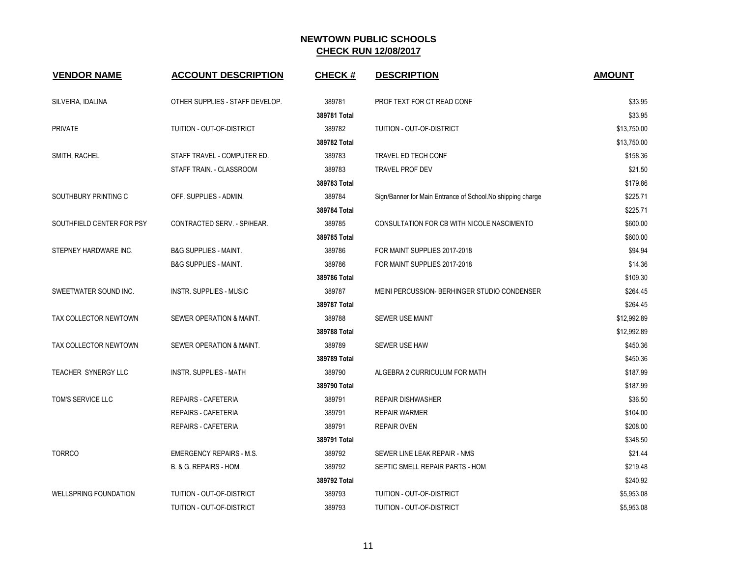| <b>VENDOR NAME</b>           | <b>ACCOUNT DESCRIPTION</b>       | <b>CHECK#</b> | <b>DESCRIPTION</b>                                          | <b>AMOUNT</b> |
|------------------------------|----------------------------------|---------------|-------------------------------------------------------------|---------------|
| SILVEIRA, IDALINA            | OTHER SUPPLIES - STAFF DEVELOP.  | 389781        | PROF TEXT FOR CT READ CONF                                  | \$33.95       |
|                              |                                  | 389781 Total  |                                                             | \$33.95       |
| <b>PRIVATE</b>               | TUITION - OUT-OF-DISTRICT        | 389782        | TUITION - OUT-OF-DISTRICT                                   | \$13,750.00   |
|                              |                                  | 389782 Total  |                                                             | \$13,750.00   |
| SMITH, RACHEL                | STAFF TRAVEL - COMPUTER ED.      | 389783        | TRAVEL ED TECH CONF                                         | \$158.36      |
|                              | STAFF TRAIN. - CLASSROOM         | 389783        | <b>TRAVEL PROF DEV</b>                                      | \$21.50       |
|                              |                                  | 389783 Total  |                                                             | \$179.86      |
| SOUTHBURY PRINTING C         | OFF. SUPPLIES - ADMIN.           | 389784        | Sign/Banner for Main Entrance of School. No shipping charge | \$225.71      |
|                              |                                  | 389784 Total  |                                                             | \$225.71      |
| SOUTHFIELD CENTER FOR PSY    | CONTRACTED SERV. - SP/HEAR.      | 389785        | CONSULTATION FOR CB WITH NICOLE NASCIMENTO                  | \$600.00      |
|                              |                                  | 389785 Total  |                                                             | \$600.00      |
| STEPNEY HARDWARE INC.        | <b>B&amp;G SUPPLIES - MAINT.</b> | 389786        | FOR MAINT SUPPLIES 2017-2018                                | \$94.94       |
|                              | <b>B&amp;G SUPPLIES - MAINT.</b> | 389786        | FOR MAINT SUPPLIES 2017-2018                                | \$14.36       |
|                              |                                  | 389786 Total  |                                                             | \$109.30      |
| SWEETWATER SOUND INC.        | INSTR. SUPPLIES - MUSIC          | 389787        | MEINI PERCUSSION- BERHINGER STUDIO CONDENSER                | \$264.45      |
|                              |                                  | 389787 Total  |                                                             | \$264.45      |
| TAX COLLECTOR NEWTOWN        | SEWER OPERATION & MAINT.         | 389788        | <b>SEWER USE MAINT</b>                                      | \$12,992.89   |
|                              |                                  | 389788 Total  |                                                             | \$12,992.89   |
| TAX COLLECTOR NEWTOWN        | SEWER OPERATION & MAINT.         | 389789        | SEWER USE HAW                                               | \$450.36      |
|                              |                                  | 389789 Total  |                                                             | \$450.36      |
| TEACHER SYNERGY LLC          | <b>INSTR. SUPPLIES - MATH</b>    | 389790        | ALGEBRA 2 CURRICULUM FOR MATH                               | \$187.99      |
|                              |                                  | 389790 Total  |                                                             | \$187.99      |
| TOM'S SERVICE LLC            | <b>REPAIRS - CAFETERIA</b>       | 389791        | <b>REPAIR DISHWASHER</b>                                    | \$36.50       |
|                              | <b>REPAIRS - CAFETERIA</b>       | 389791        | <b>REPAIR WARMER</b>                                        | \$104.00      |
|                              | REPAIRS - CAFETERIA              | 389791        | <b>REPAIR OVEN</b>                                          | \$208.00      |
|                              |                                  | 389791 Total  |                                                             | \$348.50      |
| <b>TORRCO</b>                | <b>EMERGENCY REPAIRS - M.S.</b>  | 389792        | SEWER LINE LEAK REPAIR - NMS                                | \$21.44       |
|                              | B. & G. REPAIRS - HOM.           | 389792        | SEPTIC SMELL REPAIR PARTS - HOM                             | \$219.48      |
|                              |                                  | 389792 Total  |                                                             | \$240.92      |
| <b>WELLSPRING FOUNDATION</b> | TUITION - OUT-OF-DISTRICT        | 389793        | TUITION - OUT-OF-DISTRICT                                   | \$5,953.08    |
|                              | TUITION - OUT-OF-DISTRICT        | 389793        | TUITION - OUT-OF-DISTRICT                                   | \$5,953.08    |